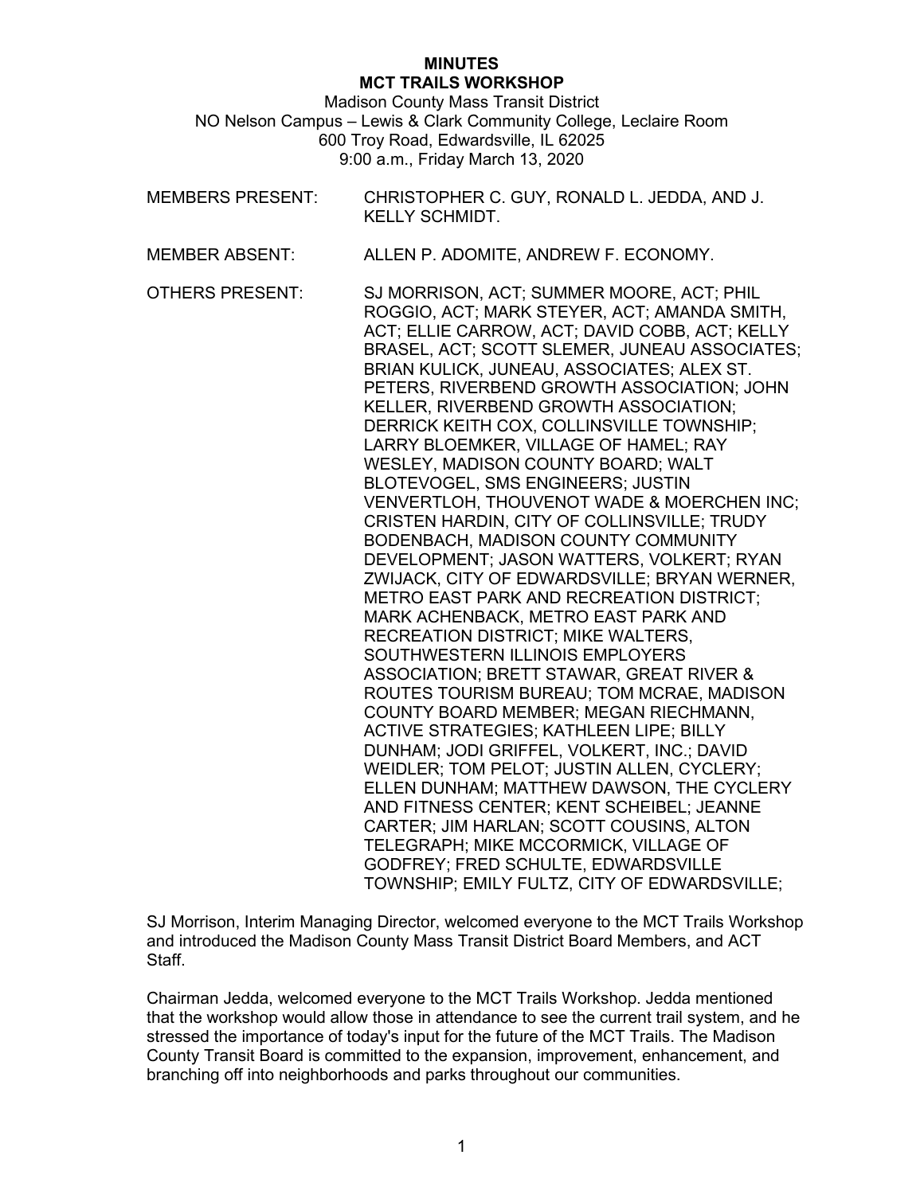## **MINUTES MCT TRAILS WORKSHOP**

Madison County Mass Transit District NO Nelson Campus – Lewis & Clark Community College, Leclaire Room 600 Troy Road, Edwardsville, IL 62025 9:00 a.m., Friday March 13, 2020

- MEMBERS PRESENT: CHRISTOPHER C. GUY, RONALD L. JEDDA, AND J. KELLY SCHMIDT.
- MEMBER ABSENT: ALLEN P. ADOMITE, ANDREW F. ECONOMY.

OTHERS PRESENT: SJ MORRISON, ACT; SUMMER MOORE, ACT; PHIL ROGGIO, ACT; MARK STEYER, ACT; AMANDA SMITH, ACT; ELLIE CARROW, ACT; DAVID COBB, ACT; KELLY BRASEL, ACT; SCOTT SLEMER, JUNEAU ASSOCIATES; BRIAN KULICK, JUNEAU, ASSOCIATES; ALEX ST. PETERS, RIVERBEND GROWTH ASSOCIATION; JOHN KELLER, RIVERBEND GROWTH ASSOCIATION; DERRICK KEITH COX, COLLINSVILLE TOWNSHIP; LARRY BLOEMKER, VILLAGE OF HAMEL; RAY WESLEY, MADISON COUNTY BOARD; WALT BLOTEVOGEL, SMS ENGINEERS; JUSTIN VENVERTLOH, THOUVENOT WADE & MOERCHEN INC; CRISTEN HARDIN, CITY OF COLLINSVILLE; TRUDY BODENBACH, MADISON COUNTY COMMUNITY DEVELOPMENT; JASON WATTERS, VOLKERT; RYAN ZWIJACK, CITY OF EDWARDSVILLE; BRYAN WERNER, METRO EAST PARK AND RECREATION DISTRICT; MARK ACHENBACK, METRO EAST PARK AND RECREATION DISTRICT; MIKE WALTERS, SOUTHWESTERN ILLINOIS EMPLOYERS ASSOCIATION; BRETT STAWAR, GREAT RIVER & ROUTES TOURISM BUREAU; TOM MCRAE, MADISON COUNTY BOARD MEMBER; MEGAN RIECHMANN, ACTIVE STRATEGIES; KATHLEEN LIPE; BILLY DUNHAM; JODI GRIFFEL, VOLKERT, INC.; DAVID WEIDLER; TOM PELOT; JUSTIN ALLEN, CYCLERY; ELLEN DUNHAM; MATTHEW DAWSON, THE CYCLERY AND FITNESS CENTER; KENT SCHEIBEL; JEANNE CARTER; JIM HARLAN; SCOTT COUSINS, ALTON TELEGRAPH; MIKE MCCORMICK, VILLAGE OF GODFREY; FRED SCHULTE, EDWARDSVILLE TOWNSHIP; EMILY FULTZ, CITY OF EDWARDSVILLE;

SJ Morrison, Interim Managing Director, welcomed everyone to the MCT Trails Workshop and introduced the Madison County Mass Transit District Board Members, and ACT Staff.

Chairman Jedda, welcomed everyone to the MCT Trails Workshop. Jedda mentioned that the workshop would allow those in attendance to see the current trail system, and he stressed the importance of today's input for the future of the MCT Trails. The Madison County Transit Board is committed to the expansion, improvement, enhancement, and branching off into neighborhoods and parks throughout our communities.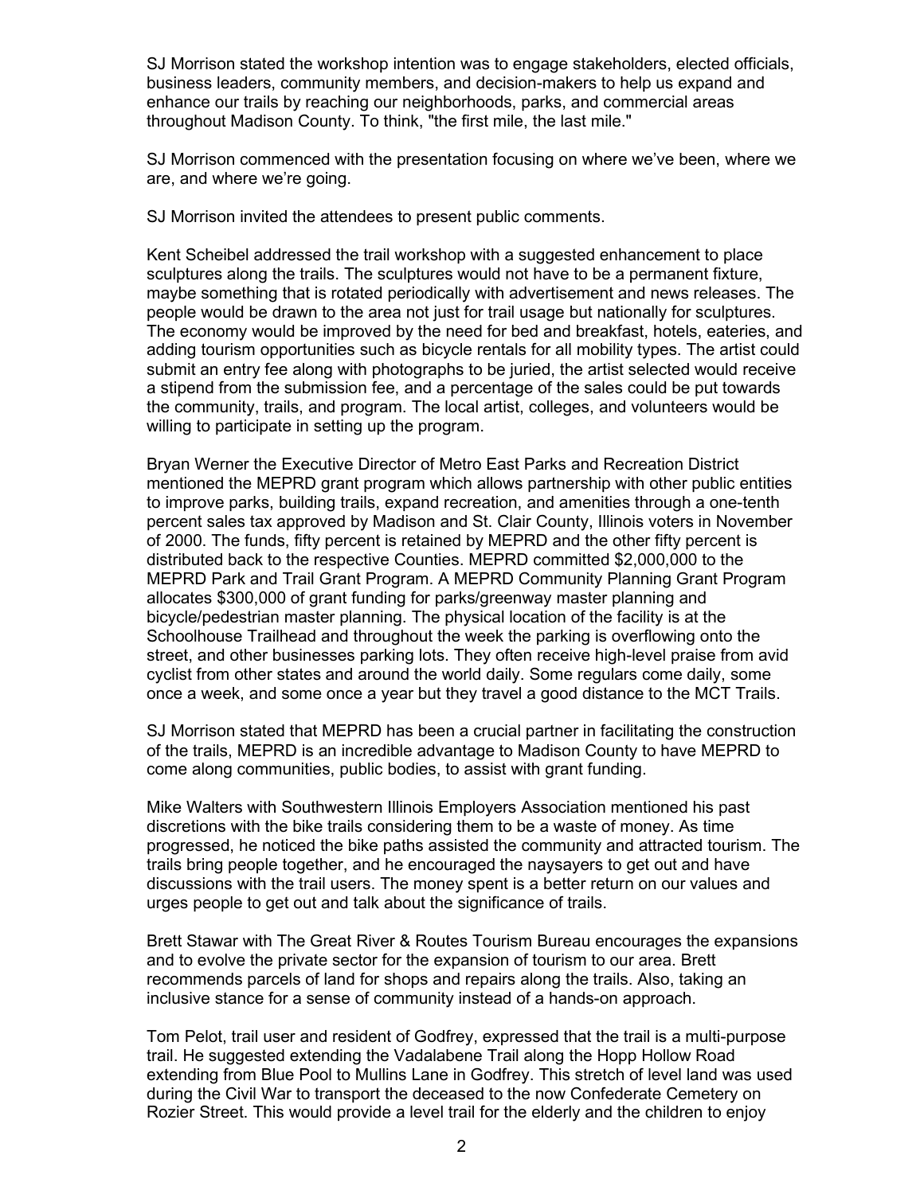SJ Morrison stated the workshop intention was to engage stakeholders, elected officials, business leaders, community members, and decision-makers to help us expand and enhance our trails by reaching our neighborhoods, parks, and commercial areas throughout Madison County. To think, "the first mile, the last mile."

SJ Morrison commenced with the presentation focusing on where we've been, where we are, and where we're going.

SJ Morrison invited the attendees to present public comments.

Kent Scheibel addressed the trail workshop with a suggested enhancement to place sculptures along the trails. The sculptures would not have to be a permanent fixture, maybe something that is rotated periodically with advertisement and news releases. The people would be drawn to the area not just for trail usage but nationally for sculptures. The economy would be improved by the need for bed and breakfast, hotels, eateries, and adding tourism opportunities such as bicycle rentals for all mobility types. The artist could submit an entry fee along with photographs to be juried, the artist selected would receive a stipend from the submission fee, and a percentage of the sales could be put towards the community, trails, and program. The local artist, colleges, and volunteers would be willing to participate in setting up the program.

Bryan Werner the Executive Director of Metro East Parks and Recreation District mentioned the MEPRD grant program which allows partnership with other public entities to improve parks, building trails, expand recreation, and amenities through a one-tenth percent sales tax approved by Madison and St. Clair County, Illinois voters in November of 2000. The funds, fifty percent is retained by MEPRD and the other fifty percent is distributed back to the respective Counties. MEPRD committed \$2,000,000 to the MEPRD Park and Trail Grant Program. A MEPRD Community Planning Grant Program allocates \$300,000 of grant funding for parks/greenway master planning and bicycle/pedestrian master planning. The physical location of the facility is at the Schoolhouse Trailhead and throughout the week the parking is overflowing onto the street, and other businesses parking lots. They often receive high-level praise from avid cyclist from other states and around the world daily. Some regulars come daily, some once a week, and some once a year but they travel a good distance to the MCT Trails.

SJ Morrison stated that MEPRD has been a crucial partner in facilitating the construction of the trails, MEPRD is an incredible advantage to Madison County to have MEPRD to come along communities, public bodies, to assist with grant funding.

Mike Walters with Southwestern Illinois Employers Association mentioned his past discretions with the bike trails considering them to be a waste of money. As time progressed, he noticed the bike paths assisted the community and attracted tourism. The trails bring people together, and he encouraged the naysayers to get out and have discussions with the trail users. The money spent is a better return on our values and urges people to get out and talk about the significance of trails.

Brett Stawar with The Great River & Routes Tourism Bureau encourages the expansions and to evolve the private sector for the expansion of tourism to our area. Brett recommends parcels of land for shops and repairs along the trails. Also, taking an inclusive stance for a sense of community instead of a hands-on approach.

Tom Pelot, trail user and resident of Godfrey, expressed that the trail is a multi-purpose trail. He suggested extending the Vadalabene Trail along the Hopp Hollow Road extending from Blue Pool to Mullins Lane in Godfrey. This stretch of level land was used during the Civil War to transport the deceased to the now Confederate Cemetery on Rozier Street. This would provide a level trail for the elderly and the children to enjoy